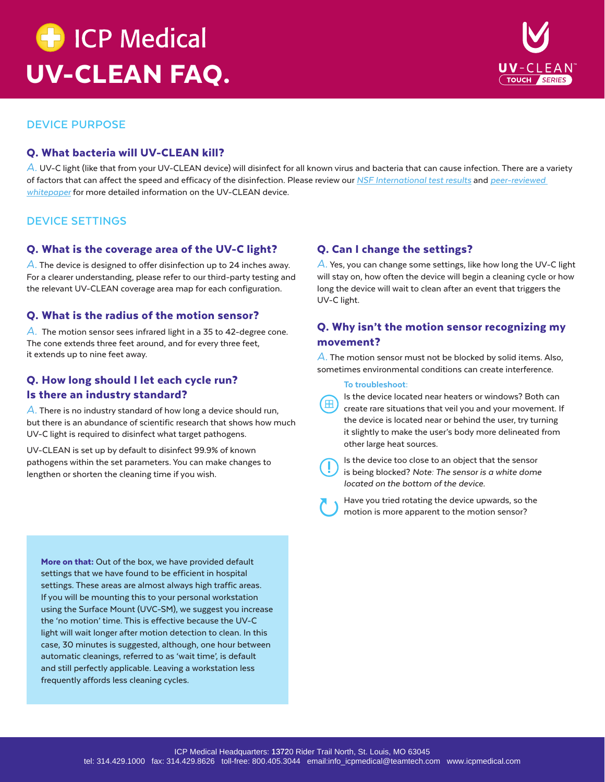



## **DEVICE PURPOSE**

### Q. What bacteria will UV-CLEAN kill?

A. UV-C light (like that from your UV-CLEAN device) will disinfect for all known virus and bacteria that can cause infection. There are a variety of factors that can affect the speed and efficacy of the disinfection. Please review our *[NSF International test results](https://proximitysystems.com/wp-content/uploads/2020/05/NSF-Results.pdf)* and *[peer-reviewed](https://proximitysystems.com/wp-content/uploads/2019/07/UV-CLEAN-WhitePaper.pdf) [whitepaper](https://proximitysystems.com/wp-content/uploads/2019/07/UV-CLEAN-WhitePaper.pdf)* for more detailed information on the UV-CLEAN device.

### **DEVICE SETTINGS**

#### Q. What is the coverage area of the UV-C light?

*A.* The device is designed to offer disinfection up to 24 inches away. For a clearer understanding, please refer to our third-party testing and the relevant UV-CLEAN coverage area map for each configuration.

#### Q. What is the radius of the motion sensor?

*A.* The motion sensor sees infrared light in a 35 to 42-degree cone. The cone extends three feet around, and for every three feet, it extends up to nine feet away.

## Q. How long should I let each cycle run? Is there an industry standard?

*A.* There is no industry standard of how long a device should run, but there is an abundance of scientific research that shows how much UV-C light is required to disinfect what target pathogens.

UV-CLEAN is set up by default to disinfect 99.9% of known pathogens within the set parameters. You can make changes to lengthen or shorten the cleaning time if you wish.

### Q. Can I change the settings?

*A.* Yes, you can change some settings, like how long the UV-C light will stay on, how often the device will begin a cleaning cycle or how long the device will wait to clean after an event that triggers the UV-C light.

## Q. Why isn't the motion sensor recognizing my movement?

*A.* The motion sensor must not be blocked by solid items. Also, sometimes environmental conditions can create interference.

#### To troubleshoot:

Is the device located near heaters or windows? Both can create rare situations that veil you and your movement. If the device is located near or behind the user, try turning it slightly to make the user's body more delineated from other large heat sources.

'm

Is the device too close to an object that the sensor is being blocked? *Note: The sensor is a white dome located on the bottom of the device.*

Have you tried rotating the device upwards, so the motion is more apparent to the motion sensor?

More on that: Out of the box, we have provided default settings that we have found to be efficient in hospital settings. These areas are almost always high traffic areas. If you will be mounting this to your personal workstation using the Surface Mount (UVC-SM), we suggest you increase the 'no motion' time. This is effective because the UV-C light will wait longer after motion detection to clean. In this case, 30 minutes is suggested, although, one hour between automatic cleanings, referred to as 'wait time', is default and still perfectly applicable. Leaving a workstation less frequently affords less cleaning cycles.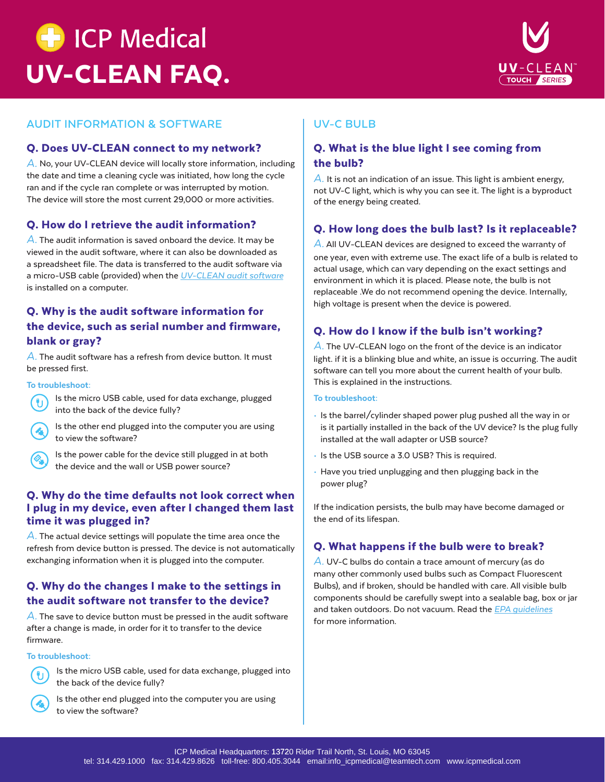



# **AUDIT INFORMATION & SOFTWARE**

#### Q. Does UV-CLEAN connect to my network?

*A.* No, your UV-CLEAN device will locally store information, including the date and time a cleaning cycle was initiated, how long the cycle ran and if the cycle ran complete or was interrupted by motion. The device will store the most current 29,000 or more activities.

### Q. How do I retrieve the audit information?

*A.* The audit information is saved onboard the device. It may be viewed in the audit software, where it can also be downloaded as a spreadsheet file. The data is transferred to the audit software via a micro-USB cable (provided) when the *[UV-CLEAN audit software](https://uvclean.proximitysystems.com/latest-software/)* is installed on a computer.

# Q. Why is the audit software information for the device, such as serial number and firmware, blank or gray?

*A.* The audit software has a refresh from device button. It must be pressed first.

#### To troubleshoot:



Is the micro USB cable, used for data exchange, plugged into the back of the device fully?

Is the other end plugged into the computer you are using to view the software?



Is the power cable for the device still plugged in at both the device and the wall or USB power source?

## Q. Why do the time defaults not look correct when I plug in my device, even after I changed them last time it was plugged in?

*A.* The actual device settings will populate the time area once the refresh from device button is pressed. The device is not automatically exchanging information when it is plugged into the computer.

# Q. Why do the changes I make to the settings in the audit software not transfer to the device?

*A.* The save to device button must be pressed in the audit software after a change is made, in order for it to transfer to the device firmware.

#### To troubleshoot:



Is the micro USB cable, used for data exchange, plugged into the back of the device fully?



Is the other end plugged into the computer you are using to view the software?

# **UV-C BULB**

# Q. What is the blue light I see coming from the bulb?

*A.* It is not an indication of an issue. This light is ambient energy, not UV-C light, which is why you can see it. The light is a byproduct of the energy being created.

## Q. How long does the bulb last? Is it replaceable?

*A.* All UV-CLEAN devices are designed to exceed the warranty of one year, even with extreme use. The exact life of a bulb is related to actual usage, which can vary depending on the exact settings and environment in which it is placed. Please note, the bulb is not replaceable .We do not recommend opening the device. Internally, high voltage is present when the device is powered.

# Q. How do I know if the bulb isn't working?

*A.* The UV-CLEAN logo on the front of the device is an indicator light. if it is a blinking blue and white, an issue is occurring. The audit software can tell you more about the current health of your bulb. This is explained in the instructions.

#### To troubleshoot:

- Is the barrel/cylinder shaped power plug pushed all the way in or is it partially installed in the back of the UV device? Is the plug fully installed at the wall adapter or USB source?
- Is the USB source a 3.0 USB? This is required.
- Have you tried unplugging and then plugging back in the power plug?

If the indication persists, the bulb may have become damaged or the end of its lifespan.

#### Q. What happens if the bulb were to break?

*A.* UV-C bulbs do contain a trace amount of mercury (as do many other commonly used bulbs such as Compact Fluorescent Bulbs), and if broken, should be handled with care. All visible bulb components should be carefully swept into a sealable bag, box or jar and taken outdoors. Do not vacuum. Read the *[EPA guidelines](https://www.epa.gov/cfl/cleaning-broken-cfl)* for more information.